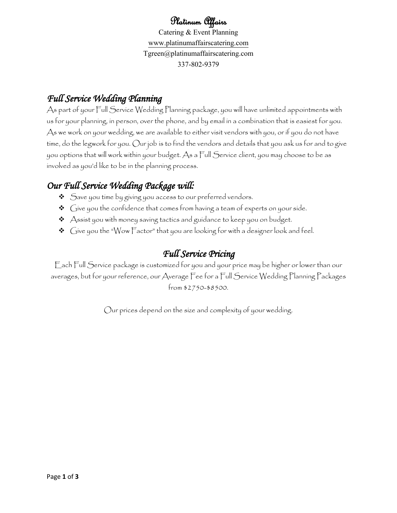# Platinum Affairs

Catering & Event Planning [www.platinumaffairscatering.com](http://www.platinumaffairscatering.com/) Tgreen@platinumaffairscatering.com 337-802-9379

# *Full Service Wedding Planning*

As part of your Full Service Wedding Planning package, you will have unlimited appointments with us for your planning, in person, over the phone, and by email in a combination that is easiest for you. As we work on your wedding, we are available to either visit vendors with you, or if you do not have time, do the legwork for you. Our job is to find the vendors and details that you ask us for and to give you options that will work within your budget. As a Full Service client, you may choose to be as involved as you'd like to be in the planning process.

# *Our Full Service Wedding Package will:*

- $\triangleleft$  Save you time by giving you access to our preferred vendors.
- $\triangleleft$   $\bigcirc$  ( $\frac{1}{2}$  ive you the confidence that comes from having a team of experts on your side.
- Assist you with money saving tactics and guidance to keep you on budget.
- $\triangleleft$  Give you the "Wow Factor" that you are looking for with a designer look and feel.

# *Full Service Pricing*

Each Full Service package is customized for you and your price may be higher or lower than our averages, but for your reference, our Average Fee for a Full Service Wedding Planning Packages from \$2750-\$8500.

Our prices depend on the size and complexity of your wedding.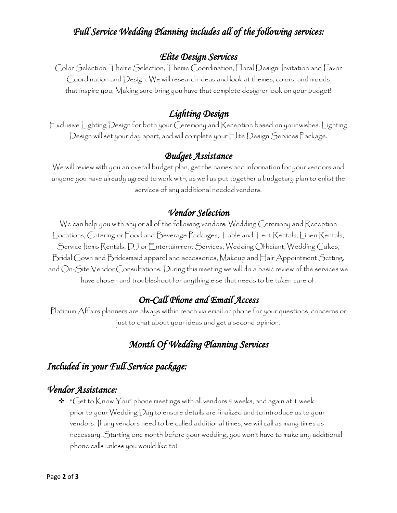### *Full Service Wedding Planning includes all of the following services:*

#### *Elite Design Services*

Color Selection, Theme Selection, Theme Coordination, Floral Design, Invitation and Favor Coordination and Design. We will research ideas and look at themes, colors, and moods that inspire you, Making sure bring you have that complete designer look on your budget!

#### *Lighting Design*

Exclusive Lighting Design for both your Ceremony and Reception based on your wishes. Lighting Design will set your day apart, and will complete your Elite Design Services Package.

#### *Budget Assistance*

We will review with you an overall budget plan, get the names and information for your vendors and anyone you have already agreed to work with, as well as put together a budgetary plan to enlist the services of any additional needed vendors.

#### *Vendor Selection*

We can help you with any or all of the following vendors: Wedding Ceremony and Reception Locations, Catering or Food and Beverage Packages, Table and Tent Rentals, Linen Rentals, Service Items Rentals, DJ or Entertainment Services, Wedding Officiant, Wedding Cakes, Bridal Gown and Bridesmaid apparel and accessories, Makeup and Hair Appointment Setting, and On-Site Vendor Consultations. During this meeting we will do a basic review of the services we have chosen and troubleshoot for anything else that needs to be taken care of.

#### *On-Call Phone and Email Access*

Platinum Affairs planners are always within reach via email or phone for your questions, concerns or just to chat about your ideas and get a second opinion.

## *Month Of Wedding Planning Services*

## *Included in your Full Service package:*

#### *Vendor Assistance:*

 $\bm{\hat{v}}$  "Get to Know You" phone meetings with all vendors 4 weeks, and again at 1 week prior to your Wedding Day to ensure details are finalized and to introduce us to your vendors. If any vendors need to be called additional times, we will call as many times as necessary. Starting one month before your wedding, you won't have to make any additional phone calls unless you would like to!